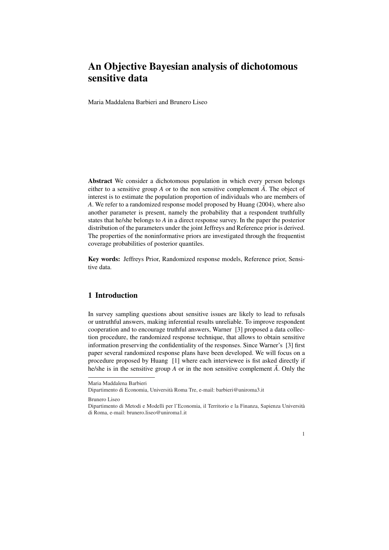# An Objective Bayesian analysis of dichotomous sensitive data

Maria Maddalena Barbieri and Brunero Liseo

Abstract We consider a dichotomous population in which every person belongs either to a sensitive group  $A$  or to the non sensitive complement  $\overline{A}$ . The object of interest is to estimate the population proportion of individuals who are members of *A*. We refer to a randomized response model proposed by Huang (2004), where also another parameter is present, namely the probability that a respondent truthfully states that he/she belongs to *A* in a direct response survey. In the paper the posterior distribution of the parameters under the joint Jeffreys and Reference prior is derived. The properties of the noninformative priors are investigated through the frequentist coverage probabilities of posterior quantiles.

Key words: Jeffreys Prior, Randomized response models, Reference prior, Sensitive data.

#### 1 Introduction

In survey sampling questions about sensitive issues are likely to lead to refusals or untruthful answers, making inferential results unreliable. To improve respondent cooperation and to encourage truthful answers, Warner [3] proposed a data collection procedure, the randomized response technique, that allows to obtain sensitive information preserving the confidentiality of the responses. Since Warner's [3] first paper several randomized response plans have been developed. We will focus on a procedure proposed by Huang [1] where each interviewee is fist asked directly if he/she is in the sensitive group *A* or in the non sensitive complement  $\overline{A}$ . Only the

Brunero Liseo

Dipartimento di Metodi e Modelli per l'Economia, il Territorio e la Finanza, Sapienza Universita` di Roma, e-mail: brunero.liseo@uniroma1.it



Maria Maddalena Barbieri

Dipartimento di Economia, Universita Roma Tre, e-mail: barbieri@uniroma3.it `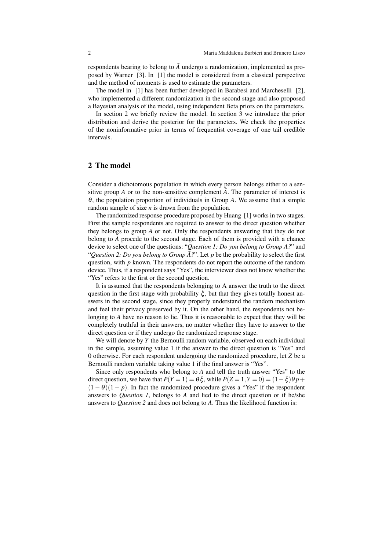respondents bearing to belong to  $\overline{A}$  undergo a randomization, implemented as proposed by Warner [3]. In [1] the model is considered from a classical perspective and the method of moments is used to estimate the parameters.

The model in [1] has been further developed in Barabesi and Marcheselli [2], who implemented a different randomization in the second stage and also proposed a Bayesian analysis of the model, using independent Beta priors on the parameters.

In section 2 we briefly review the model. In section 3 we introduce the prior distribution and derive the posterior for the parameters. We check the properties of the noninformative prior in terms of frequentist coverage of one tail credible intervals.

## 2 The model

Consider a dichotomous population in which every person belongs either to a sensitive group *A* or to the non-sensitive complement  $\overline{A}$ . The parameter of interest is <sup>θ</sup>, the population proportion of individuals in Group *A*. We assume that a simple random sample of size *n* is drawn from the population.

The randomized response procedure proposed by Huang [1] works in two stages. First the sample respondents are required to answer to the direct question whether they belongs to group *A* or not. Only the respondents answering that they do not belong to *A* procede to the second stage. Each of them is provided with a chance device to select one of the questions: "*Question 1: Do you belong to Group A?*" and "*Question 2: Do you belong to Group*  $\overline{A}$ ?". Let *p* be the probability to select the first question, with *p* known. The respondents do not report the outcome of the random device. Thus, if a respondent says "Yes", the interviewer does not know whether the "Yes" refers to the first or the second question.

It is assumed that the respondents belonging to A answer the truth to the direct question in the first stage with probability  $\xi$ , but that they gives totally honest answers in the second stage, since they properly understand the random mechanism and feel their privacy preserved by it. On the other hand, the respondents not belonging to *A* have no reason to lie. Thus it is reasonable to expect that they will be completely truthful in their answers, no matter whether they have to answer to the direct question or if they undergo the randomized response stage.

We will denote by *Y* the Bernoulli random variable, observed on each individual in the sample, assuming value 1 if the answer to the direct question is "Yes" and 0 otherwise. For each respondent undergoing the randomized procedure, let *Z* be a Bernoulli random variable taking value 1 if the final answer is "Yes".

Since only respondents who belong to *A* and tell the truth answer "Yes" to the direct question, we have that  $P(Y = 1) = \theta \xi$ , while  $P(Z = 1, Y = 0) = (1 - \xi)\theta p +$  $(1 - \theta)(1 - p)$ . In fact the randomized procedure gives a "Yes" if the respondent answers to *Question 1*, belongs to *A* and lied to the direct question or if he/she answers to *Question 2* and does not belong to *A*. Thus the likelihood function is: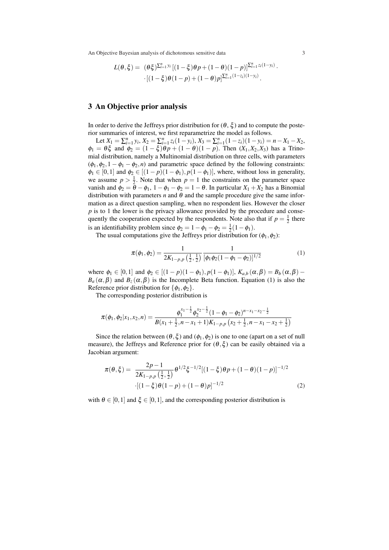An Objective Bayesian analysis of dichotomous sensitive data 3

$$
L(\theta,\xi) = (\theta\xi)^{\sum_{i=1}^n y_i} [(1-\xi)\theta p + (1-\theta)(1-p)]^{\sum_{i=1}^n z_i(1-y_i)} \cdot [(1-\xi)\theta(1-p) + (1-\theta)p]^{\sum_{i=1}^n (1-z_i)(1-y_i)}.
$$

## 3 An Objective prior analysis

In order to derive the Jeffreys prior distribution for  $(\theta, \xi)$  and to compute the posterior summaries of interest, we first reparametrize the model as follows.

Let  $X_1 = \sum_{i=1}^n y_i$ ,  $X_2 = \sum_{i=1}^n z_i (1 - y_i)$ ,  $X_3 = \sum_{i=1}^n (1 - z_i)(1 - y_i) = n - X_1 - X_2$ ,  $\phi_1 = \theta \xi$  and  $\phi_2 = (1 - \xi)\theta p + (1 - \theta)(1 - p)$ . Then  $(X_1, X_2, X_3)$  has a Trinomial distribution, namely a Multinomial distribution on three cells, with parameters  $(\phi_1, \phi_2, 1 - \phi_1 - \phi_2, n)$  and parametric space defined by the following constraints:  $\phi_1 \in [0,1]$  and  $\phi_2 \in [(1-p)(1-\phi_1), p(1-\phi_1)]$ , where, without loss in generality, we assume  $p > \frac{1}{2}$ . Note that when  $p = 1$  the constraints on the parameter space vanish and  $\phi_2 = \bar{\theta} - \phi_1$ ,  $1 - \phi_1 - \phi_2 = 1 - \theta$ . In particular  $X_1 + X_2$  has a Binomial distribution with parameters  $n$  and  $\theta$  and the sample procedure give the same information as a direct question sampling, when no respondent lies. However the closer *p* is to 1 the lower is the privacy allowance provided by the procedure and consequently the cooperation expected by the respondents. Note also that if  $p = \frac{1}{2}$  there is an identifiability problem since  $\phi_2 = 1 - \phi_1 - \phi_2 = \frac{1}{2}(1 - \phi_1)$ .

The usual computations give the Jeffreys prior distribution for  $(\phi_1, \phi_2)$ :

$$
\pi(\phi_1, \phi_2) = \frac{1}{2K_{1-p,p}(\frac{1}{2}, \frac{1}{2})} \frac{1}{[\phi_1 \phi_2 (1 - \phi_1 - \phi_2)]^{1/2}}
$$
(1)

where  $\phi_1 \in [0,1]$  and  $\phi_2 \in [(1-p)(1-\phi_1), p(1-\phi_1)], K_{a,b}(\alpha, \beta) = B_b(\alpha, \beta)$  $B_a(\alpha, \beta)$  and  $B_z(\alpha, \beta)$  is the Incomplete Beta function. Equation (1) is also the Reference prior distribution for  $\{\phi_1, \phi_2\}$ .

The corresponding posterior distribution is

$$
\pi(\phi_1, \phi_2 | x_1, x_2, n) = \frac{\phi_1^{x_1 - \frac{1}{2}} \phi_2^{x_2 - \frac{1}{2}} (1 - \phi_1 - \phi_2)^{n - x_1 - x_2 - \frac{1}{2}}}{B(x_1 + \frac{1}{2}, n - x_1 + 1)K_{1-p,p} (x_2 + \frac{1}{2}, n - x_1 - x_2 + \frac{1}{2})}
$$

Since the relation between  $(\theta, \xi)$  and  $(\phi_1, \phi_2)$  is one to one (apart on a set of null measure), the Jeffreys and Reference prior for  $(\theta, \xi)$  can be easily obtained via a Jacobian argument:

$$
\pi(\theta,\xi) = \frac{2p-1}{2K_{1-p,p}(\frac{1}{2},\frac{1}{2})} \theta^{1/2} \xi^{-1/2} [(1-\xi)\theta p + (1-\theta)(1-p)]^{-1/2}
$$
  
 
$$
\cdot [(1-\xi)\theta(1-p) + (1-\theta)p]^{-1/2}
$$
 (2)

with  $\theta \in [0,1]$  and  $\xi \in [0,1]$ , and the corresponding posterior distribution is